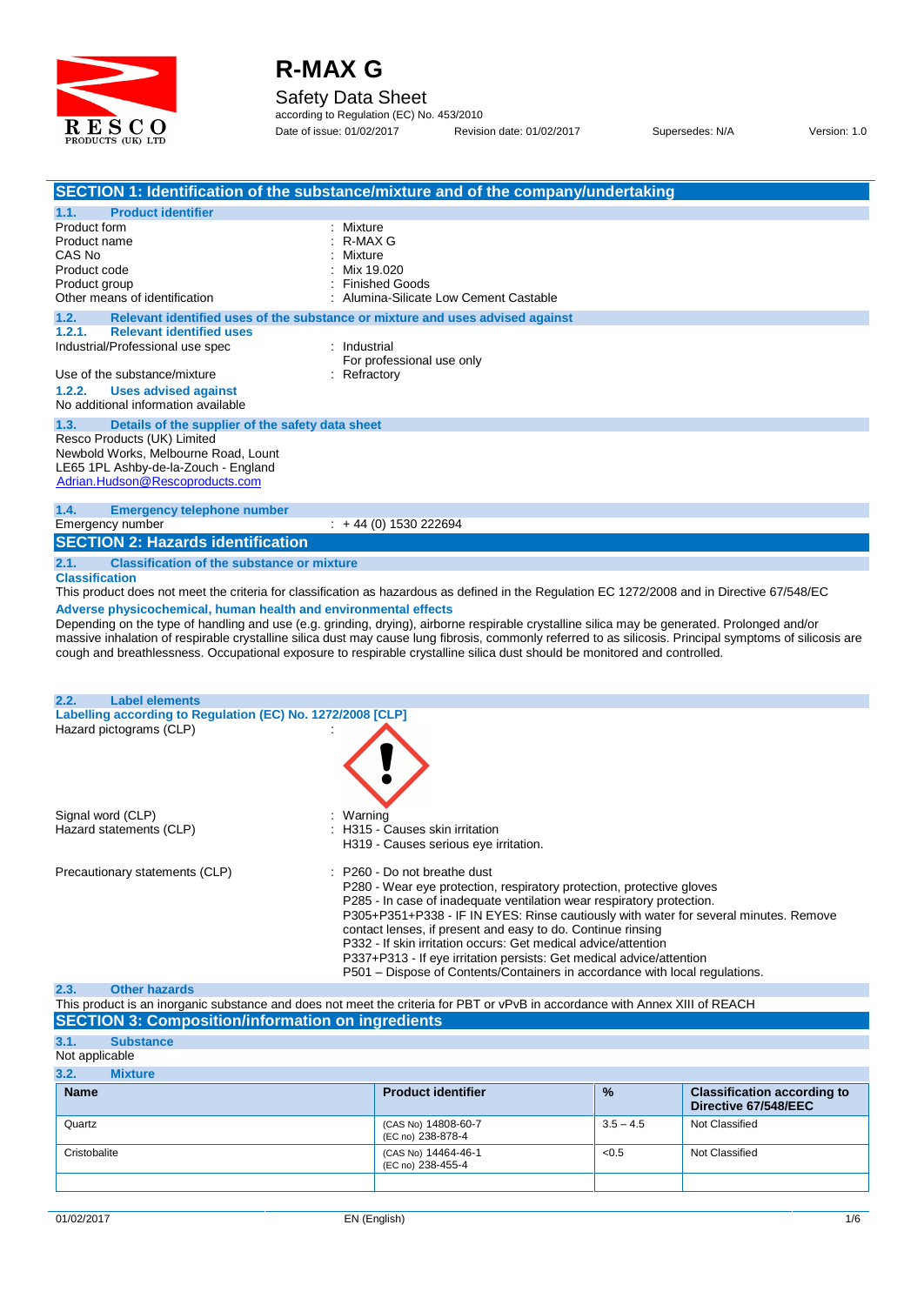

Safety Data Sheet

according to Regulation (EC) No. 453/2010 Date of issue: 01/02/2017 Revision date: 01/02/2017 Supersedes: N/A Version: 1.0

|                                                                                                                        | SECTION 1: Identification of the substance/mixture and of the company/undertaking                                                                                                                                                                                                                                                                                                                                                                                               |
|------------------------------------------------------------------------------------------------------------------------|---------------------------------------------------------------------------------------------------------------------------------------------------------------------------------------------------------------------------------------------------------------------------------------------------------------------------------------------------------------------------------------------------------------------------------------------------------------------------------|
| <b>Product identifier</b><br>1.1.                                                                                      |                                                                                                                                                                                                                                                                                                                                                                                                                                                                                 |
| Product form                                                                                                           | : Mixture                                                                                                                                                                                                                                                                                                                                                                                                                                                                       |
| Product name                                                                                                           | : R-MAX G                                                                                                                                                                                                                                                                                                                                                                                                                                                                       |
| CAS No                                                                                                                 | : Mixture                                                                                                                                                                                                                                                                                                                                                                                                                                                                       |
| Product code                                                                                                           | Mix 19.020                                                                                                                                                                                                                                                                                                                                                                                                                                                                      |
| Product group<br>Other means of identification                                                                         | : Finished Goods<br>: Alumina-Silicate Low Cement Castable                                                                                                                                                                                                                                                                                                                                                                                                                      |
| 1.2.                                                                                                                   | Relevant identified uses of the substance or mixture and uses advised against                                                                                                                                                                                                                                                                                                                                                                                                   |
| 1.2.1.<br><b>Relevant identified uses</b>                                                                              |                                                                                                                                                                                                                                                                                                                                                                                                                                                                                 |
| Industrial/Professional use spec                                                                                       | : Industrial                                                                                                                                                                                                                                                                                                                                                                                                                                                                    |
|                                                                                                                        | For professional use only                                                                                                                                                                                                                                                                                                                                                                                                                                                       |
| Use of the substance/mixture                                                                                           | : Refractory                                                                                                                                                                                                                                                                                                                                                                                                                                                                    |
| 1.2.2.<br><b>Uses advised against</b>                                                                                  |                                                                                                                                                                                                                                                                                                                                                                                                                                                                                 |
| No additional information available                                                                                    |                                                                                                                                                                                                                                                                                                                                                                                                                                                                                 |
| 1.3.<br>Details of the supplier of the safety data sheet                                                               |                                                                                                                                                                                                                                                                                                                                                                                                                                                                                 |
| Resco Products (UK) Limited                                                                                            |                                                                                                                                                                                                                                                                                                                                                                                                                                                                                 |
| Newbold Works, Melbourne Road, Lount                                                                                   |                                                                                                                                                                                                                                                                                                                                                                                                                                                                                 |
| LE65 1PL Ashby-de-la-Zouch - England<br>Adrian.Hudson@Rescoproducts.com                                                |                                                                                                                                                                                                                                                                                                                                                                                                                                                                                 |
|                                                                                                                        |                                                                                                                                                                                                                                                                                                                                                                                                                                                                                 |
| 1.4.<br><b>Emergency telephone number</b>                                                                              |                                                                                                                                                                                                                                                                                                                                                                                                                                                                                 |
| Emergency number                                                                                                       | $\div$ + 44 (0) 1530 222694                                                                                                                                                                                                                                                                                                                                                                                                                                                     |
| <b>SECTION 2: Hazards identification</b>                                                                               |                                                                                                                                                                                                                                                                                                                                                                                                                                                                                 |
| 2.1.<br><b>Classification of the substance or mixture</b>                                                              |                                                                                                                                                                                                                                                                                                                                                                                                                                                                                 |
| <b>Classification</b>                                                                                                  |                                                                                                                                                                                                                                                                                                                                                                                                                                                                                 |
|                                                                                                                        | This product does not meet the criteria for classification as hazardous as defined in the Regulation EC 1272/2008 and in Directive 67/548/EC                                                                                                                                                                                                                                                                                                                                    |
| <b>Label elements</b><br>2.2.<br>Labelling according to Regulation (EC) No. 1272/2008 [CLP]<br>Hazard pictograms (CLP) | cough and breathlessness. Occupational exposure to respirable crystalline silica dust should be monitored and controlled.                                                                                                                                                                                                                                                                                                                                                       |
| Signal word (CLP)<br>Hazard statements (CLP)                                                                           | : Warning<br>: H315 - Causes skin irritation<br>H319 - Causes serious eye irritation.                                                                                                                                                                                                                                                                                                                                                                                           |
| Precautionary statements (CLP)                                                                                         | : P260 - Do not breathe dust<br>P280 - Wear eye protection, respiratory protection, protective gloves<br>P285 - In case of inadequate ventilation wear respiratory protection.<br>P305+P351+P338 - IF IN EYES: Rinse cautiously with water for several minutes. Remove<br>contact lenses, if present and easy to do. Continue rinsing<br>P332 - If skin irritation occurs: Get medical advice/attention<br>P337+P313 - If eye irritation persists: Get medical advice/attention |
|                                                                                                                        |                                                                                                                                                                                                                                                                                                                                                                                                                                                                                 |
| <b>Other hazards</b>                                                                                                   | P501 – Dispose of Contents/Containers in accordance with local regulations.                                                                                                                                                                                                                                                                                                                                                                                                     |
|                                                                                                                        | This product is an inorganic substance and does not meet the criteria for PBT or vPvB in accordance with Annex XIII of REACH                                                                                                                                                                                                                                                                                                                                                    |
|                                                                                                                        |                                                                                                                                                                                                                                                                                                                                                                                                                                                                                 |
|                                                                                                                        |                                                                                                                                                                                                                                                                                                                                                                                                                                                                                 |
| <b>Substance</b>                                                                                                       |                                                                                                                                                                                                                                                                                                                                                                                                                                                                                 |
| <b>Mixture</b>                                                                                                         |                                                                                                                                                                                                                                                                                                                                                                                                                                                                                 |
| 2.3.<br><b>SECTION 3: Composition/information on ingredients</b><br>3.1.<br>Not applicable<br>3.2.<br><b>Name</b>      | <b>Product identifier</b><br>$\frac{9}{6}$<br><b>Classification according to</b><br>Directive 67/548/EEC                                                                                                                                                                                                                                                                                                                                                                        |

(EC no) 238-878-4

Cristobalite (CAS No) 14464-46-1 (EC no) 238-455-4 <0.5 Not Classified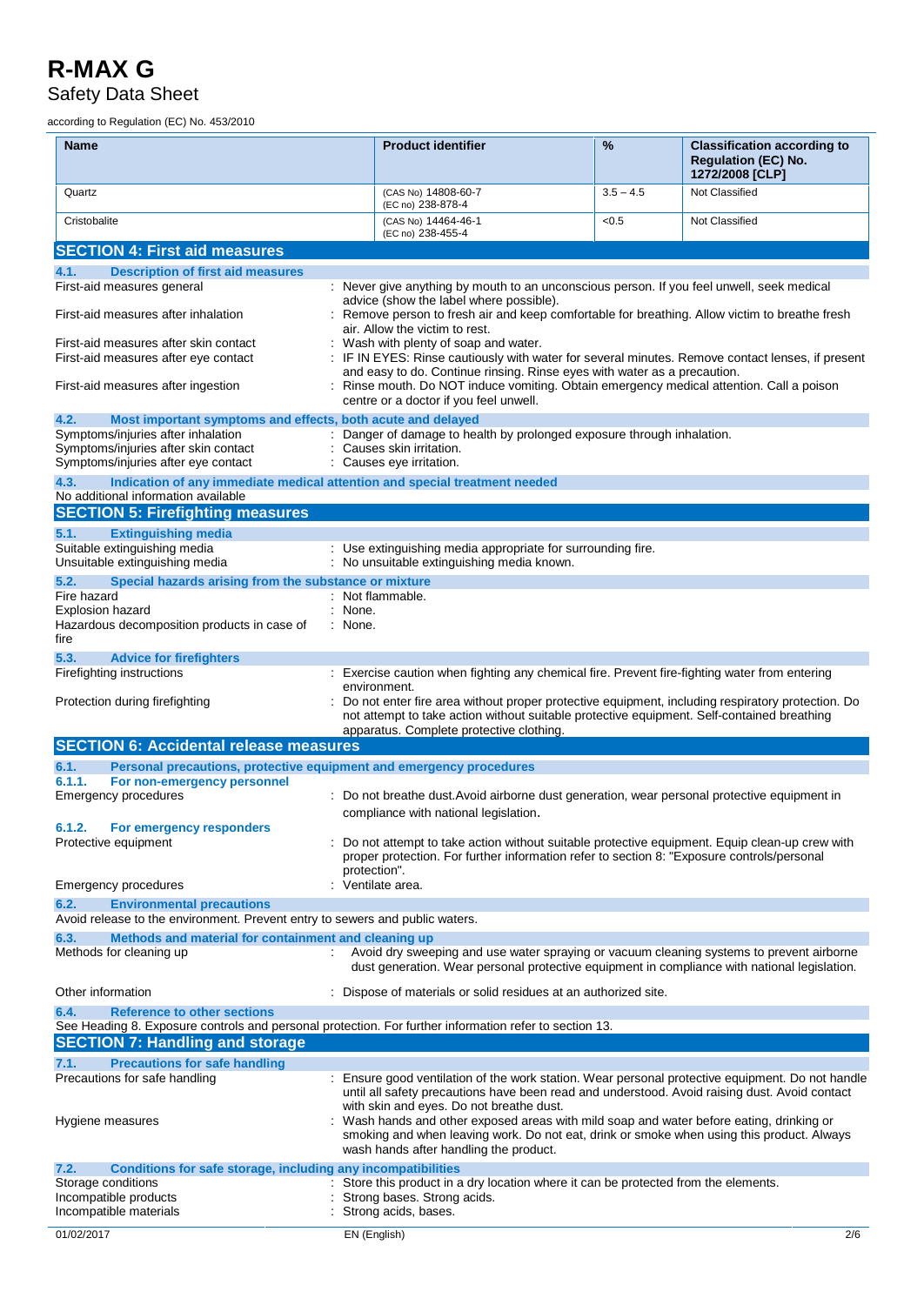### **R-MAX G** Safety Data Sheet

according to Regulation (EC) No. 453/2010

| Name                                                                                                                                             | <b>Product identifier</b>                                                                                                                                                                                                                                                   | %           | <b>Classification according to</b><br><b>Regulation (EC) No.</b><br>1272/2008 [CLP] |
|--------------------------------------------------------------------------------------------------------------------------------------------------|-----------------------------------------------------------------------------------------------------------------------------------------------------------------------------------------------------------------------------------------------------------------------------|-------------|-------------------------------------------------------------------------------------|
| Quartz                                                                                                                                           | (CAS No) 14808-60-7<br>(EC no) 238-878-4                                                                                                                                                                                                                                    | $3.5 - 4.5$ | Not Classified                                                                      |
| Cristobalite                                                                                                                                     | (CAS No) 14464-46-1<br>(EC no) 238-455-4                                                                                                                                                                                                                                    | <0.5        | Not Classified                                                                      |
| <b>SECTION 4: First aid measures</b>                                                                                                             |                                                                                                                                                                                                                                                                             |             |                                                                                     |
| <b>Description of first aid measures</b><br>4.1.                                                                                                 |                                                                                                                                                                                                                                                                             |             |                                                                                     |
| First-aid measures general                                                                                                                       | : Never give anything by mouth to an unconscious person. If you feel unwell, seek medical                                                                                                                                                                                   |             |                                                                                     |
| First-aid measures after inhalation                                                                                                              | advice (show the label where possible).<br>: Remove person to fresh air and keep comfortable for breathing. Allow victim to breathe fresh<br>air. Allow the victim to rest.                                                                                                 |             |                                                                                     |
| First-aid measures after skin contact<br>First-aid measures after eye contact                                                                    | : Wash with plenty of soap and water.<br>: IF IN EYES: Rinse cautiously with water for several minutes. Remove contact lenses, if present                                                                                                                                   |             |                                                                                     |
| First-aid measures after ingestion                                                                                                               | and easy to do. Continue rinsing. Rinse eyes with water as a precaution.<br>: Rinse mouth. Do NOT induce vomiting. Obtain emergency medical attention. Call a poison<br>centre or a doctor if you feel unwell.                                                              |             |                                                                                     |
| Most important symptoms and effects, both acute and delayed<br>4.2.                                                                              |                                                                                                                                                                                                                                                                             |             |                                                                                     |
| Symptoms/injuries after inhalation<br>Symptoms/injuries after skin contact<br>Symptoms/injuries after eye contact                                | Danger of damage to health by prolonged exposure through inhalation.<br>Causes skin irritation.<br>: Causes eye irritation.                                                                                                                                                 |             |                                                                                     |
| 4.3.<br>Indication of any immediate medical attention and special treatment needed                                                               |                                                                                                                                                                                                                                                                             |             |                                                                                     |
| No additional information available                                                                                                              |                                                                                                                                                                                                                                                                             |             |                                                                                     |
| <b>SECTION 5: Firefighting measures</b>                                                                                                          |                                                                                                                                                                                                                                                                             |             |                                                                                     |
| <b>Extinguishing media</b><br>5.1.                                                                                                               |                                                                                                                                                                                                                                                                             |             |                                                                                     |
| Suitable extinguishing media<br>Unsuitable extinguishing media                                                                                   | : Use extinguishing media appropriate for surrounding fire.<br>: No unsuitable extinguishing media known.                                                                                                                                                                   |             |                                                                                     |
| Special hazards arising from the substance or mixture<br>5.2.                                                                                    |                                                                                                                                                                                                                                                                             |             |                                                                                     |
| Fire hazard<br>Explosion hazard                                                                                                                  | : Not flammable.<br>: None.                                                                                                                                                                                                                                                 |             |                                                                                     |
| Hazardous decomposition products in case of<br>fire                                                                                              | : None.                                                                                                                                                                                                                                                                     |             |                                                                                     |
| 5.3.<br><b>Advice for firefighters</b>                                                                                                           |                                                                                                                                                                                                                                                                             |             |                                                                                     |
| Firefighting instructions                                                                                                                        | : Exercise caution when fighting any chemical fire. Prevent fire-fighting water from entering                                                                                                                                                                               |             |                                                                                     |
| Protection during firefighting                                                                                                                   | environment.<br>: Do not enter fire area without proper protective equipment, including respiratory protection. Do<br>not attempt to take action without suitable protective equipment. Self-contained breathing<br>apparatus. Complete protective clothing.                |             |                                                                                     |
| <b>SECTION 6: Accidental release measures</b>                                                                                                    |                                                                                                                                                                                                                                                                             |             |                                                                                     |
| 6.1.<br>Personal precautions, protective equipment and emergency procedures                                                                      |                                                                                                                                                                                                                                                                             |             |                                                                                     |
| 6.1.1.<br>For non-emergency personnel                                                                                                            |                                                                                                                                                                                                                                                                             |             |                                                                                     |
| <b>Emergency procedures</b>                                                                                                                      | : Do not breathe dust. Avoid airborne dust generation, wear personal protective equipment in<br>compliance with national legislation.                                                                                                                                       |             |                                                                                     |
| 6.1.2.<br><b>For emergency responders</b><br>Protective equipment                                                                                | Do not attempt to take action without suitable protective equipment. Equip clean-up crew with<br>proper protection. For further information refer to section 8: "Exposure controls/personal                                                                                 |             |                                                                                     |
|                                                                                                                                                  | protection".                                                                                                                                                                                                                                                                |             |                                                                                     |
| Emergency procedures                                                                                                                             | Ventilate area.                                                                                                                                                                                                                                                             |             |                                                                                     |
| 6.2.<br><b>Environmental precautions</b><br>Avoid release to the environment. Prevent entry to sewers and public waters.                         |                                                                                                                                                                                                                                                                             |             |                                                                                     |
| Methods and material for containment and cleaning up<br>6.3.<br>Methods for cleaning up                                                          | Avoid dry sweeping and use water spraying or vacuum cleaning systems to prevent airborne<br>$\mathbb{R}^n$<br>dust generation. Wear personal protective equipment in compliance with national legislation.                                                                  |             |                                                                                     |
| Other information                                                                                                                                | : Dispose of materials or solid residues at an authorized site.                                                                                                                                                                                                             |             |                                                                                     |
| <b>Reference to other sections</b><br>6.4.                                                                                                       |                                                                                                                                                                                                                                                                             |             |                                                                                     |
| See Heading 8. Exposure controls and personal protection. For further information refer to section 13.<br><b>SECTION 7: Handling and storage</b> |                                                                                                                                                                                                                                                                             |             |                                                                                     |
| <b>Precautions for safe handling</b><br>7.1.                                                                                                     |                                                                                                                                                                                                                                                                             |             |                                                                                     |
| Precautions for safe handling                                                                                                                    | : Ensure good ventilation of the work station. Wear personal protective equipment. Do not handle<br>until all safety precautions have been read and understood. Avoid raising dust. Avoid contact                                                                           |             |                                                                                     |
| Hygiene measures                                                                                                                                 | with skin and eyes. Do not breathe dust.<br>: Wash hands and other exposed areas with mild soap and water before eating, drinking or<br>smoking and when leaving work. Do not eat, drink or smoke when using this product. Always<br>wash hands after handling the product. |             |                                                                                     |
| 7.2.<br>Conditions for safe storage, including any incompatibilities                                                                             |                                                                                                                                                                                                                                                                             |             |                                                                                     |
| Storage conditions<br>Incompatible products<br>Incompatible materials                                                                            | Store this product in a dry location where it can be protected from the elements.<br>Strong bases. Strong acids.<br>Strong acids, bases.                                                                                                                                    |             |                                                                                     |
|                                                                                                                                                  |                                                                                                                                                                                                                                                                             |             |                                                                                     |
| 01/02/2017                                                                                                                                       | EN (English)                                                                                                                                                                                                                                                                |             | 2/6                                                                                 |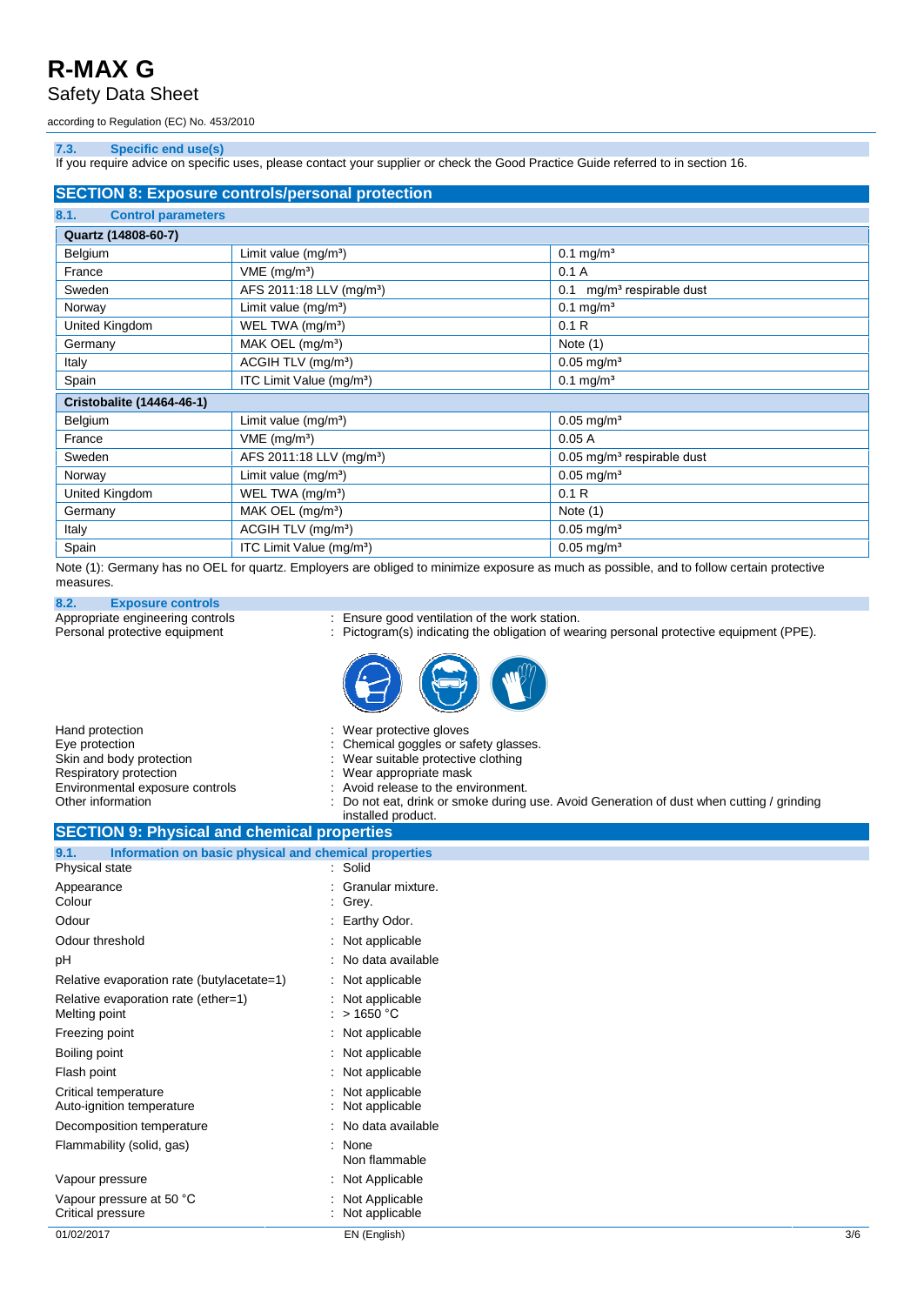Safety Data Sheet

according to Regulation (EC) No. 453/2010

### **7.3. Specific end use(s)**

If you require advice on specific uses, please contact your supplier or check the Good Practice Guide referred to in section 16.

| <b>SECTION 8: Exposure controls/personal protection</b> |                                      |                                          |  |
|---------------------------------------------------------|--------------------------------------|------------------------------------------|--|
| 8.1.<br><b>Control parameters</b>                       |                                      |                                          |  |
| Quartz (14808-60-7)                                     |                                      |                                          |  |
| Belgium                                                 | Limit value $(mg/m3)$                | $0.1 \,\mathrm{mg/m^3}$                  |  |
| France                                                  | $VME$ (mg/m <sup>3</sup> )           | 0.1A                                     |  |
| Sweden                                                  | AFS 2011:18 LLV (mg/m <sup>3</sup> ) | mg/m <sup>3</sup> respirable dust<br>0.1 |  |
| Norway                                                  | Limit value $(mg/m3)$                | $0.1$ mg/m <sup>3</sup>                  |  |
| United Kingdom                                          | WEL TWA (mg/m <sup>3</sup> )         | 0.1R                                     |  |
| Germany                                                 | MAK OEL (mg/m <sup>3</sup> )         | Note $(1)$                               |  |
| Italy                                                   | ACGIH TLV (mg/m <sup>3</sup> )       | $0.05$ mg/m <sup>3</sup>                 |  |
| Spain                                                   | ITC Limit Value (mg/m <sup>3</sup> ) | $0.1 \,\mathrm{mg/m^3}$                  |  |
| <b>Cristobalite (14464-46-1)</b>                        |                                      |                                          |  |
| Belgium                                                 | Limit value $(mg/m3)$                | $0.05$ mg/m <sup>3</sup>                 |  |
| France                                                  | $VME$ (mg/m <sup>3</sup> )           | 0.05A                                    |  |
| Sweden                                                  | AFS 2011:18 LLV (mg/m <sup>3</sup> ) | $0.05$ mg/m <sup>3</sup> respirable dust |  |
| Norway                                                  | Limit value $(mg/m3)$                | $0.05$ mg/m <sup>3</sup>                 |  |
| United Kingdom                                          | WEL TWA (mg/m <sup>3</sup> )         | 0.1R                                     |  |
| Germany                                                 | MAK OEL (mg/m <sup>3</sup> )         | Note $(1)$                               |  |
| Italy                                                   | ACGIH TLV (mg/m <sup>3</sup> )       | $0.05$ mg/m <sup>3</sup>                 |  |
| Spain                                                   | ITC Limit Value (mg/m <sup>3</sup> ) | $0.05 \text{ mg/m}^3$                    |  |

Note (1): Germany has no OEL for quartz. Employers are obliged to minimize exposure as much as possible, and to follow certain protective measures.

**8.2. Exposure controls**

Appropriate engineering controls : Ensure good ventilation of the work station.

Personal protective equipment : Pictogram(s) indicating the obligation of wearing personal protective equipment (PPE).



| : Wear protective gloves<br>: Chemical goggles or safety glasses.<br>: Wear suitable protective clothing<br>: Wear appropriate mask<br>: Avoid release to the environment.<br>: Do not eat, drink or smoke during use. Avoid Generation of dust when cutting / grinding<br>installed product. |
|-----------------------------------------------------------------------------------------------------------------------------------------------------------------------------------------------------------------------------------------------------------------------------------------------|
| <b>OF OTIONIA IN INSTRUMENT OF A STATE OF A STATE OF A STATE OF A STATE OF A STATE OF A STATE OF A STATE OF A ST</b>                                                                                                                                                                          |
|                                                                                                                                                                                                                                                                                               |

#### **SECTION 9: Physical and chemical properties 9.1. Information on basic physical and chemical properties**

| 9.1.<br>Information on basic physical and chemical properties<br>Physical state | : Solid                           |     |
|---------------------------------------------------------------------------------|-----------------------------------|-----|
| Appearance<br>Colour                                                            | Granular mixture.<br>: Grey.      |     |
| Odour                                                                           | : Earthy Odor.                    |     |
| Odour threshold                                                                 | : Not applicable                  |     |
| рH                                                                              | : No data available               |     |
| Relative evaporation rate (butylacetate=1)                                      | : Not applicable                  |     |
| Relative evaporation rate (ether=1)<br>Melting point                            | : Not applicable<br>: $> 1650 °C$ |     |
| Freezing point                                                                  | $:$ Not applicable                |     |
| Boiling point                                                                   | : Not applicable                  |     |
| Flash point                                                                     | : Not applicable                  |     |
| Critical temperature<br>Auto-ignition temperature                               | Not applicable<br>Not applicable  |     |
| Decomposition temperature                                                       | : No data available               |     |
| Flammability (solid, gas)                                                       | None<br>Non flammable             |     |
| Vapour pressure                                                                 | : Not Applicable                  |     |
| Vapour pressure at 50 °C<br>Critical pressure                                   | Not Applicable<br>Not applicable  |     |
| 01/02/2017                                                                      | EN (English)                      | 3/6 |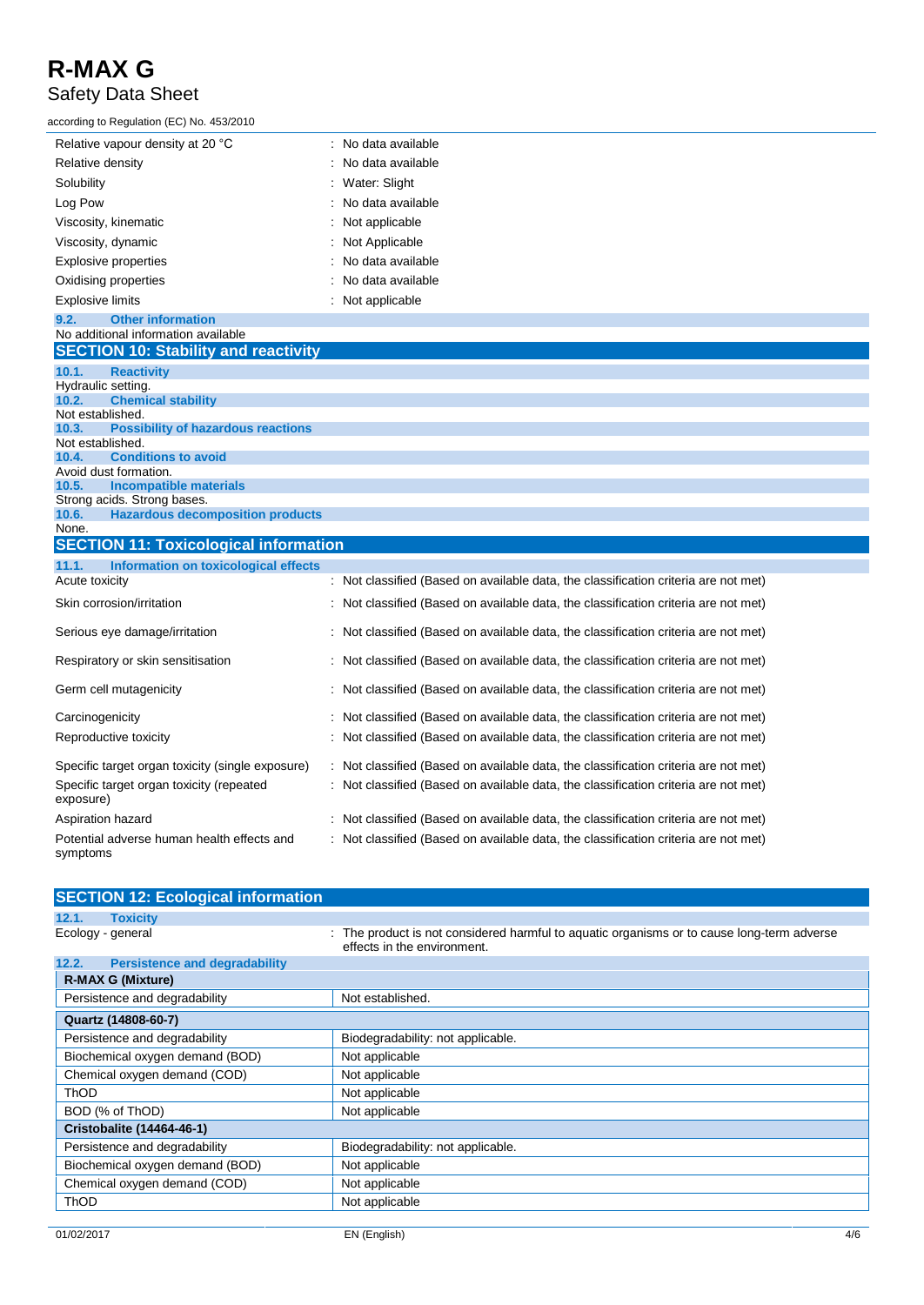Safety Data Sheet

| according to Regulation (EC) No. 453/2010 |                                |  |  |
|-------------------------------------------|--------------------------------|--|--|
| Relative vapour density at 20 °C          | $\therefore$ No data available |  |  |
| Relative density                          | : No data available            |  |  |
| Solubility                                | : Water: Slight                |  |  |
| Log Pow                                   | : No data available            |  |  |
| Viscosity, kinematic                      | : Not applicable               |  |  |
| Viscosity, dynamic                        | : Not Applicable               |  |  |
| Explosive properties                      | : No data available            |  |  |
| Oxidising properties                      | : No data available            |  |  |
| <b>Explosive limits</b>                   | : Not applicable               |  |  |

#### **9.2. Other information** No additional information available

| <b>SECTION 10: Stability and reactivity</b>                  |                                                                                     |
|--------------------------------------------------------------|-------------------------------------------------------------------------------------|
| 10.1.<br><b>Reactivity</b>                                   |                                                                                     |
| Hydraulic setting.                                           |                                                                                     |
| 10.2.<br><b>Chemical stability</b>                           |                                                                                     |
| Not established.                                             |                                                                                     |
| <b>Possibility of hazardous reactions</b><br>10.3.           |                                                                                     |
| Not established.                                             |                                                                                     |
| <b>Conditions to avoid</b><br>10.4.                          |                                                                                     |
| Avoid dust formation.<br>10.5.                               |                                                                                     |
| <b>Incompatible materials</b><br>Strong acids. Strong bases. |                                                                                     |
| <b>Hazardous decomposition products</b><br>10.6.             |                                                                                     |
| None.                                                        |                                                                                     |
| <b>SECTION 11: Toxicological information</b>                 |                                                                                     |
| 11.1.<br>Information on toxicological effects                |                                                                                     |
| Acute toxicity                                               | : Not classified (Based on available data, the classification criteria are not met) |
| Skin corrosion/irritation                                    | : Not classified (Based on available data, the classification criteria are not met) |
| Serious eye damage/irritation                                | : Not classified (Based on available data, the classification criteria are not met) |
| Respiratory or skin sensitisation                            | : Not classified (Based on available data, the classification criteria are not met) |
| Germ cell mutagenicity                                       | : Not classified (Based on available data, the classification criteria are not met) |
| Carcinogenicity                                              | : Not classified (Based on available data, the classification criteria are not met) |
| Reproductive toxicity                                        | : Not classified (Based on available data, the classification criteria are not met) |
| Specific target organ toxicity (single exposure)             | : Not classified (Based on available data, the classification criteria are not met) |
| Specific target organ toxicity (repeated<br>. \              | : Not classified (Based on available data, the classification criteria are not met) |

| exposure)                                              |                                                                                     |
|--------------------------------------------------------|-------------------------------------------------------------------------------------|
| Aspiration hazard                                      | : Not classified (Based on available data, the classification criteria are not met) |
| Potential adverse human health effects and<br>symptoms | : Not classified (Based on available data, the classification criteria are not met) |

| <b>SECTION 12: Ecological information</b>     |                                                                                                                           |
|-----------------------------------------------|---------------------------------------------------------------------------------------------------------------------------|
| 12.1.<br><b>Toxicity</b>                      |                                                                                                                           |
| Ecology - general                             | : The product is not considered harmful to aquatic organisms or to cause long-term adverse<br>effects in the environment. |
| 12.2.<br><b>Persistence and degradability</b> |                                                                                                                           |
| <b>R-MAX G (Mixture)</b>                      |                                                                                                                           |
| Persistence and degradability                 | Not established.                                                                                                          |
| Quartz (14808-60-7)                           |                                                                                                                           |
| Persistence and degradability                 | Biodegradability: not applicable.                                                                                         |
| Biochemical oxygen demand (BOD)               | Not applicable                                                                                                            |
| Chemical oxygen demand (COD)                  | Not applicable                                                                                                            |
| <b>ThOD</b>                                   | Not applicable                                                                                                            |
| BOD (% of ThOD)                               | Not applicable                                                                                                            |
| Cristobalite (14464-46-1)                     |                                                                                                                           |
| Persistence and degradability                 | Biodegradability: not applicable.                                                                                         |
| Biochemical oxygen demand (BOD)               | Not applicable                                                                                                            |
| Chemical oxygen demand (COD)                  | Not applicable                                                                                                            |
| <b>ThOD</b>                                   | Not applicable                                                                                                            |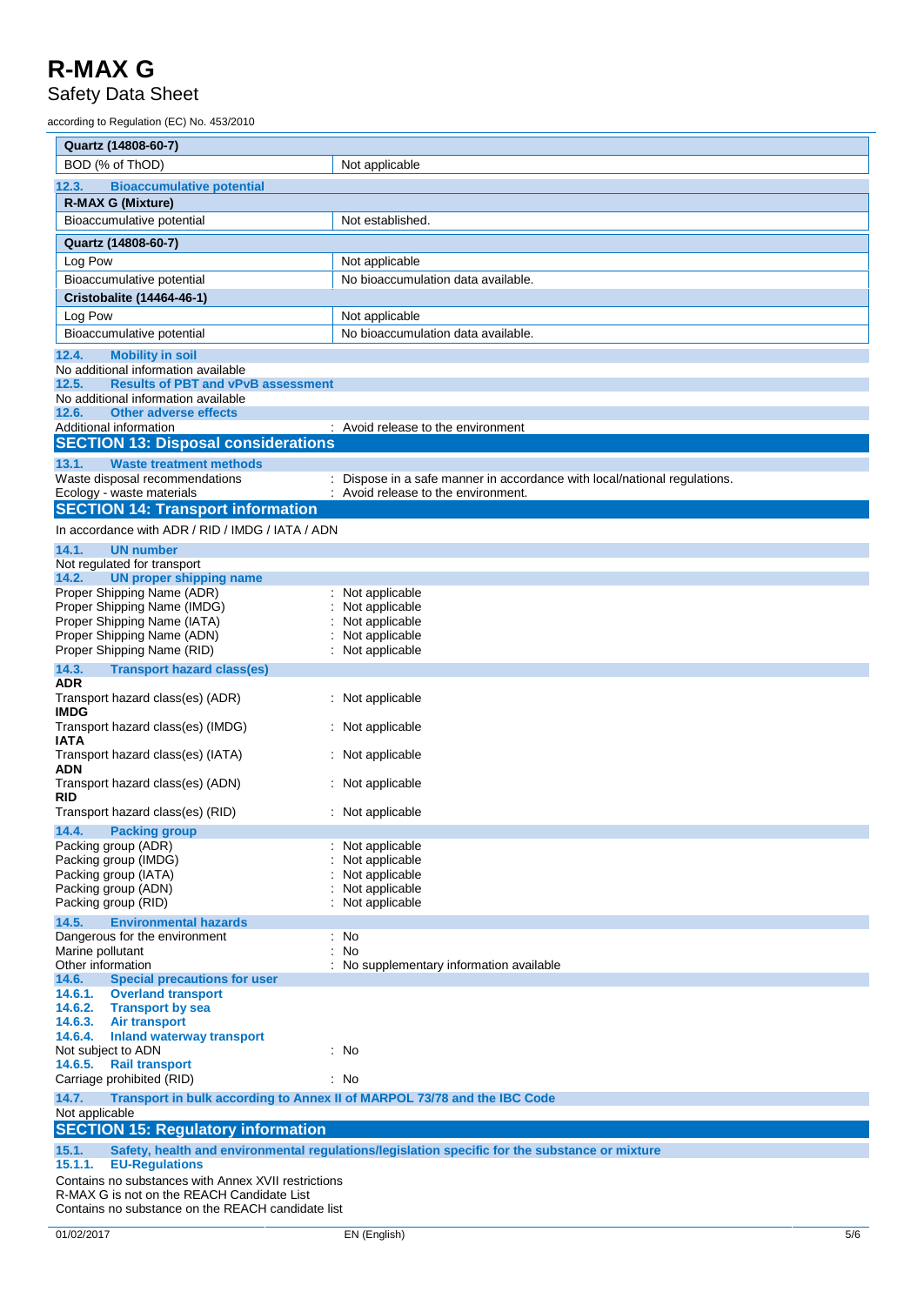Safety Data Sheet

according to Regulation (EC) No. 453/2010

| Quartz (14808-60-7)                                                                       |                                                                                                              |  |
|-------------------------------------------------------------------------------------------|--------------------------------------------------------------------------------------------------------------|--|
| BOD (% of ThOD)                                                                           | Not applicable                                                                                               |  |
| <b>Bioaccumulative potential</b><br>12.3.                                                 |                                                                                                              |  |
| <b>R-MAX G (Mixture)</b>                                                                  |                                                                                                              |  |
| Bioaccumulative potential                                                                 | Not established.                                                                                             |  |
| Quartz (14808-60-7)                                                                       |                                                                                                              |  |
| Log Pow                                                                                   | Not applicable                                                                                               |  |
| Bioaccumulative potential                                                                 | No bioaccumulation data available.                                                                           |  |
| <b>Cristobalite (14464-46-1)</b>                                                          |                                                                                                              |  |
| Log Pow                                                                                   | Not applicable                                                                                               |  |
| Bioaccumulative potential                                                                 | No bioaccumulation data available.                                                                           |  |
| 12.4.<br><b>Mobility in soil</b>                                                          |                                                                                                              |  |
| No additional information available                                                       |                                                                                                              |  |
| 12.5.<br><b>Results of PBT and vPvB assessment</b><br>No additional information available |                                                                                                              |  |
| <b>Other adverse effects</b><br>12.6.                                                     |                                                                                                              |  |
| Additional information                                                                    | : Avoid release to the environment                                                                           |  |
| <b>SECTION 13: Disposal considerations</b>                                                |                                                                                                              |  |
| 13.1.<br><b>Waste treatment methods</b>                                                   |                                                                                                              |  |
| Waste disposal recommendations<br>Ecology - waste materials                               | Dispose in a safe manner in accordance with local/national regulations.<br>Avoid release to the environment. |  |
| <b>SECTION 14: Transport information</b>                                                  |                                                                                                              |  |
| In accordance with ADR / RID / IMDG / IATA / ADN                                          |                                                                                                              |  |
| <b>UN number</b><br>14.1.<br>Not regulated for transport                                  |                                                                                                              |  |
| 14.2.<br><b>UN proper shipping name</b>                                                   |                                                                                                              |  |
| Proper Shipping Name (ADR)                                                                | Not applicable                                                                                               |  |
| Proper Shipping Name (IMDG)                                                               | Not applicable                                                                                               |  |
| Proper Shipping Name (IATA)<br>Proper Shipping Name (ADN)                                 | Not applicable<br>Not applicable                                                                             |  |
| Proper Shipping Name (RID)                                                                | Not applicable                                                                                               |  |
| 14.3.<br><b>Transport hazard class(es)</b>                                                |                                                                                                              |  |
| ADR                                                                                       |                                                                                                              |  |
| Transport hazard class(es) (ADR)<br><b>IMDG</b>                                           | : Not applicable                                                                                             |  |
| Transport hazard class(es) (IMDG)<br>IATA                                                 | Not applicable                                                                                               |  |
| Transport hazard class(es) (IATA)<br>ADN                                                  | : Not applicable                                                                                             |  |
| Transport hazard class(es) (ADN)<br>RID                                                   | Not applicable                                                                                               |  |
| Transport hazard class(es) (RID)                                                          | : Not applicable                                                                                             |  |
| 14.4. Packing group                                                                       |                                                                                                              |  |
| Packing group (ADR)                                                                       | Not applicable                                                                                               |  |
| Packing group (IMDG)                                                                      | Not applicable                                                                                               |  |
| Packing group (IATA)<br>Packing group (ADN)                                               | Not applicable<br>Not applicable                                                                             |  |
| Packing group (RID)                                                                       | Not applicable                                                                                               |  |
| 14.5.<br><b>Environmental hazards</b>                                                     |                                                                                                              |  |
| Dangerous for the environment                                                             | : No                                                                                                         |  |
| Marine pollutant<br>Other information                                                     | : No<br>No supplementary information available                                                               |  |
| <b>Special precautions for user</b><br>14.6.                                              |                                                                                                              |  |
| 14.6.1.<br><b>Overland transport</b>                                                      |                                                                                                              |  |
| 14.6.2.<br><b>Transport by sea</b>                                                        |                                                                                                              |  |
| 14.6.3.<br><b>Air transport</b><br>14.6.4.<br><b>Inland waterway transport</b>            |                                                                                                              |  |
| Not subject to ADN                                                                        | : No                                                                                                         |  |
| 14.6.5. Rail transport                                                                    |                                                                                                              |  |
| Carriage prohibited (RID)                                                                 | : No                                                                                                         |  |
| 14.7.<br>Transport in bulk according to Annex II of MARPOL 73/78 and the IBC Code         |                                                                                                              |  |
| Not applicable<br><b>SECTION 15: Regulatory information</b>                               |                                                                                                              |  |
| 15.1.                                                                                     | Safety, health and environmental regulations/legislation specific for the substance or mixture               |  |
| 15.1.1.<br><b>EU-Regulations</b><br>Contains no substances with Annex XVII restrictions   |                                                                                                              |  |
| R-MAX G is not on the REACH Candidate List                                                |                                                                                                              |  |

Contains no substance on the REACH candidate list